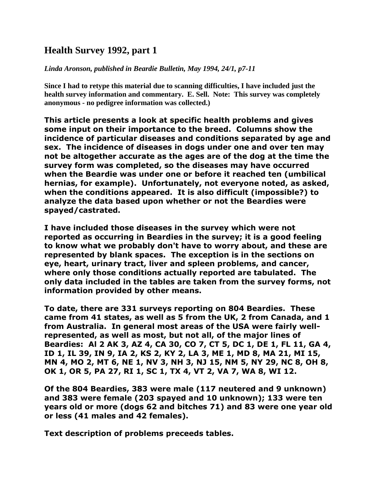## **Health Survey 1992, part 1**

*Linda Aronson, published in Beardie Bulletin, May 1994, 24/1, p7-11*

**Since I had to retype this material due to scanning difficulties, I have included just the health survey information and commentary. E. Sell. Note: This survey was completely anonymous - no pedigree information was collected.)**

**This article presents a look at specific health problems and gives some input on their importance to the breed. Columns show the incidence of particular diseases and conditions separated by age and sex. The incidence of diseases in dogs under one and over ten may not be altogether accurate as the ages are of the dog at the time the survey form was completed, so the diseases may have occurred when the Beardie was under one or before it reached ten (umbilical hernias, for example). Unfortunately, not everyone noted, as asked, when the conditions appeared. It is also difficult (impossible?) to analyze the data based upon whether or not the Beardies were spayed/castrated.** 

**I have included those diseases in the survey which were not reported as occurring in Beardies in the survey; it is a good feeling to know what we probably don't have to worry about, and these are represented by blank spaces. The exception is in the sections on eye, heart, urinary tract, liver and spleen problems, and cancer, where only those conditions actually reported are tabulated. The only data included in the tables are taken from the survey forms, not information provided by other means.**

**To date, there are 331 surveys reporting on 804 Beardies. These came from 41 states, as well as 5 from the UK, 2 from Canada, and 1 from Australia. In general most areas of the USA were fairly wellrepresented, as well as most, but not all, of the major lines of Beardies: Al 2 AK 3, AZ 4, CA 30, CO 7, CT 5, DC 1, DE 1, FL 11, GA 4, ID 1, IL 39, IN 9, IA 2, KS 2, KY 2, LA 3, ME 1, MD 8, MA 21, MI 15, MN 4, MO 2, MT 6, NE 1, NV 3, NH 3, NJ 15, NM 5, NY 29, NC 8, OH 8, OK 1, OR 5, PA 27, RI 1, SC 1, TX 4, VT 2, VA 7, WA 8, WI 12.**

**Of the 804 Beardies, 383 were male (117 neutered and 9 unknown) and 383 were female (203 spayed and 10 unknown); 133 were ten years old or more (dogs 62 and bitches 71) and 83 were one year old or less (41 males and 42 females).**

**Text description of problems preceeds tables.**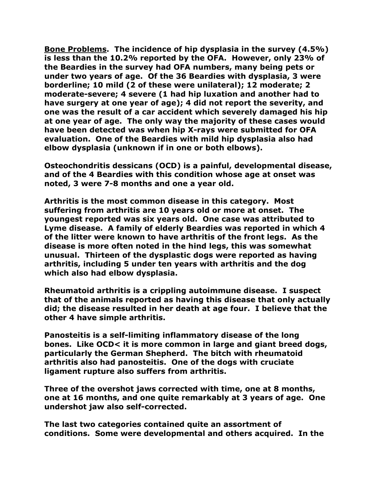**Bone Problems. The incidence of hip dysplasia in the survey (4.5%) is less than the 10.2% reported by the OFA. However, only 23% of the Beardies in the survey had OFA numbers, many being pets or under two years of age. Of the 36 Beardies with dysplasia, 3 were borderline; 10 mild (2 of these were unilateral); 12 moderate; 2 moderate-severe; 4 severe (1 had hip luxation and another had to have surgery at one year of age); 4 did not report the severity, and one was the result of a car accident which severely damaged his hip at one year of age. The only way the majority of these cases would have been detected was when hip X-rays were submitted for OFA evaluation. One of the Beardies with mild hip dysplasia also had elbow dysplasia (unknown if in one or both elbows).**

**Osteochondritis dessicans (OCD) is a painful, developmental disease, and of the 4 Beardies with this condition whose age at onset was noted, 3 were 7-8 months and one a year old.** 

**Arthritis is the most common disease in this category. Most suffering from arthritis are 10 years old or more at onset. The youngest reported was six years old. One case was attributed to Lyme disease. A family of elderly Beardies was reported in which 4 of the litter were known to have arthritis of the front legs. As the disease is more often noted in the hind legs, this was somewhat unusual. Thirteen of the dysplastic dogs were reported as having arthritis, including 5 under ten years with arthritis and the dog which also had elbow dysplasia.** 

**Rheumatoid arthritis is a crippling autoimmune disease. I suspect that of the animals reported as having this disease that only actually did; the disease resulted in her death at age four. I believe that the other 4 have simple arthritis.** 

**Panosteitis is a self-limiting inflammatory disease of the long bones. Like OCD< it is more common in large and giant breed dogs, particularly the German Shepherd. The bitch with rheumatoid arthritis also had panosteitis. One of the dogs with cruciate ligament rupture also suffers from arthritis.** 

**Three of the overshot jaws corrected with time, one at 8 months, one at 16 months, and one quite remarkably at 3 years of age. One undershot jaw also self-corrected.**

**The last two categories contained quite an assortment of conditions. Some were developmental and others acquired. In the**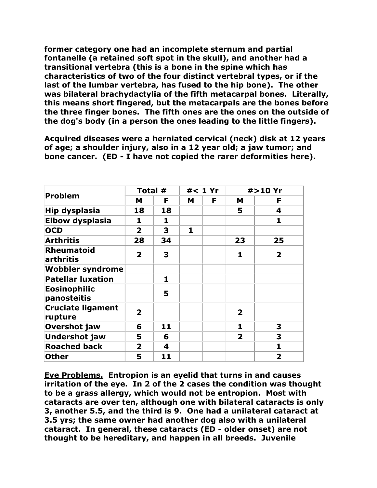**former category one had an incomplete sternum and partial fontanelle (a retained soft spot in the skull), and another had a transitional vertebra (this is a bone in the spine which has characteristics of two of the four distinct vertebral types, or if the last of the lumbar vertebra, has fused to the hip bone). The other was bilateral brachydactylia of the fifth metacarpal bones. Literally, this means short fingered, but the metacarpals are the bones before the three finger bones. The fifth ones are the ones on the outside of the dog's body (in a person the ones leading to the little fingers).**

**Acquired diseases were a herniated cervical (neck) disk at 12 years of age; a shoulder injury, also in a 12 year old; a jaw tumor; and bone cancer. (ED - I have not copied the rarer deformities here).**

|                                     | Total #                 |    | $#$ < 1 Yr |    |                         | #>10 Yr        |
|-------------------------------------|-------------------------|----|------------|----|-------------------------|----------------|
| Problem                             | M                       | F. | M          | F. | M                       | F              |
| Hip dysplasia                       | 18                      | 18 |            |    | 5                       | 4              |
| <b>Elbow dysplasia</b>              | 1                       | 1  |            |    |                         | 1              |
| <b>OCD</b>                          | $\mathbf{2}$            | 3  | 1          |    |                         |                |
| <b>Arthritis</b>                    | 28                      | 34 |            |    | 23                      | 25             |
| <b>Rheumatoid</b><br>arthritis      | $\overline{2}$          | 3  |            |    | 1                       | $\overline{2}$ |
| <b>Wobbler syndrome</b>             |                         |    |            |    |                         |                |
| <b>Patellar luxation</b>            |                         | 1  |            |    |                         |                |
| <b>Eosinophilic</b><br>panosteitis  |                         | 5  |            |    |                         |                |
| <b>Cruciate ligament</b><br>rupture | $\overline{\mathbf{2}}$ |    |            |    | $\overline{\mathbf{2}}$ |                |
| Overshot jaw                        | 6                       | 11 |            |    | 1                       | 3              |
| <b>Undershot jaw</b>                | 5                       | 6  |            |    | $\mathbf{2}$            | 3              |
| <b>Roached back</b>                 | $\overline{2}$          | 4  |            |    |                         | 1              |
| <b>Other</b>                        | 5                       | 11 |            |    |                         | $\overline{2}$ |

**Eye Problems. Entropion is an eyelid that turns in and causes irritation of the eye. In 2 of the 2 cases the condition was thought to be a grass allergy, which would not be entropion. Most with cataracts are over ten, although one with bilateral cataracts is only 3, another 5.5, and the third is 9. One had a unilateral cataract at 3.5 yrs; the same owner had another dog also with a unilateral cataract. In general, these cataracts (ED - older onset) are not thought to be hereditary, and happen in all breeds. Juvenile**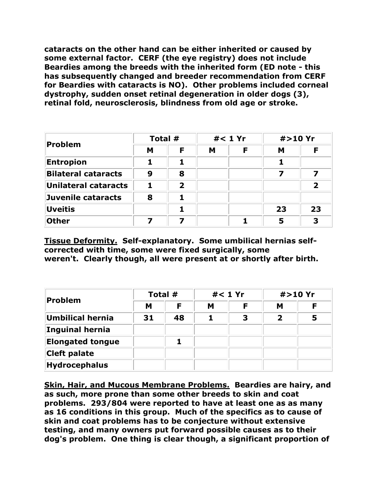**cataracts on the other hand can be either inherited or caused by some external factor. CERF (the eye registry) does not include Beardies among the breeds with the inherited form (ED note - this has subsequently changed and breeder recommendation from CERF for Beardies with cataracts is NO). Other problems included corneal dystrophy, sudden onset retinal degeneration in older dogs (3), retinal fold, neurosclerosis, blindness from old age or stroke.**

| Problem                    | Total # |   | $#1$ Yr |   | #>10 Yr |    |
|----------------------------|---------|---|---------|---|---------|----|
|                            | M       | F | M       | F | М       | F  |
| <b>Entropion</b>           |         |   |         |   |         |    |
| <b>Bilateral cataracts</b> | 9       | 8 |         |   | 7       | 7  |
| Unilateral cataracts       |         | 2 |         |   |         | 2  |
| Juvenile cataracts         | 8       |   |         |   |         |    |
| Uveitis                    |         |   |         |   | 23      | 23 |
| <b>Other</b>               |         |   |         |   | 5       | 3  |

**Tissue Deformity. Self-explanatory. Some umbilical hernias selfcorrected with time, some were fixed surgically, some weren't. Clearly though, all were present at or shortly after birth.**

| Problem                 | Total # |    | $#1$ Yr |   | #>10 Yr |   |
|-------------------------|---------|----|---------|---|---------|---|
|                         | M       | F  | М       |   | М       |   |
| Umbilical hernia        | 31      | 48 |         | 3 |         | 5 |
| Inguinal hernia         |         |    |         |   |         |   |
| <b>Elongated tongue</b> |         |    |         |   |         |   |
| <b>Cleft palate</b>     |         |    |         |   |         |   |
| <b>Hydrocephalus</b>    |         |    |         |   |         |   |

**Skin, Hair, and Mucous Membrane Problems. Beardies are hairy, and as such, more prone than some other breeds to skin and coat problems. 293/804 were reported to have at least one as as many as 16 conditions in this group. Much of the specifics as to cause of skin and coat problems has to be conjecture without extensive testing, and many owners put forward possible causes as to their dog's problem. One thing is clear though, a significant proportion of**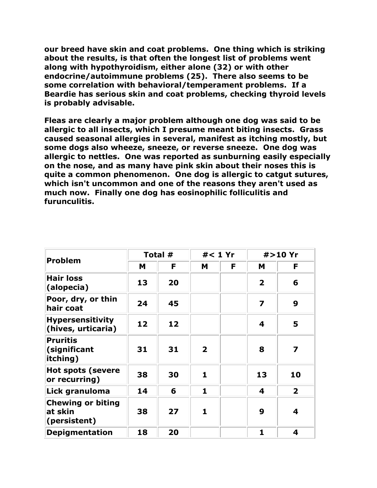**our breed have skin and coat problems. One thing which is striking about the results, is that often the longest list of problems went along with hypothyroidism, either alone (32) or with other endocrine/autoimmune problems (25). There also seems to be some correlation with behavioral/temperament problems. If a Beardie has serious skin and coat problems, checking thyroid levels is probably advisable.**

**Fleas are clearly a major problem although one dog was said to be allergic to all insects, which I presume meant biting insects. Grass caused seasonal allergies in several, manifest as itching mostly, but some dogs also wheeze, sneeze, or reverse sneeze. One dog was allergic to nettles. One was reported as sunburning easily especially on the nose, and as many have pink skin about their noses this is quite a common phenomenon. One dog is allergic to catgut sutures, which isn't uncommon and one of the reasons they aren't used as much now. Finally one dog has eosinophilic folliculitis and furunculitis.**

| <b>Problem</b>                                      | Total # |    | $#$ < 1 Yr              |   | #>10 Yr        |                         |  |
|-----------------------------------------------------|---------|----|-------------------------|---|----------------|-------------------------|--|
|                                                     | M       | F  | M                       | F | M              | F                       |  |
| <b>Hair loss</b><br>(alopecia)                      | 13      | 20 |                         |   | $\overline{2}$ | 6                       |  |
| Poor, dry, or thin<br>hair coat                     | 24      | 45 |                         |   | 7              | 9                       |  |
| <b>Hypersensitivity</b><br>(hives, urticaria)       | 12      | 12 |                         |   | 4              | 5                       |  |
| <b>Pruritis</b><br>(significant<br>itching)         | 31      | 31 | $\overline{\mathbf{2}}$ |   | 8              | $\overline{\mathbf{z}}$ |  |
| <b>Hot spots (severe</b><br>or recurring)           | 38      | 30 | 1                       |   | 13             | 10                      |  |
| Lick granuloma                                      | 14      | 6  | 1                       |   | 4              | $\overline{2}$          |  |
| <b>Chewing or biting</b><br>at skin<br>(persistent) | 38      | 27 | 1                       |   | 9              | 4                       |  |
| <b>Depigmentation</b>                               | 18      | 20 |                         |   | 1              | $\overline{\mathbf{4}}$ |  |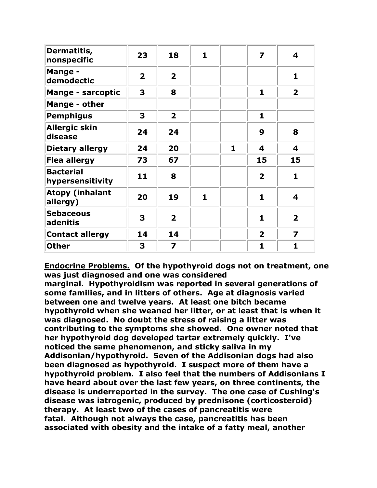| Dermatitis,<br>nonspecific           | 23             | 18                      | $\mathbf{1}$ |   | 7                       | 4                       |
|--------------------------------------|----------------|-------------------------|--------------|---|-------------------------|-------------------------|
| <b>Mange -</b><br>demodectic         | $\overline{2}$ | $\overline{2}$          |              |   |                         | $\mathbf{1}$            |
| <b>Mange - sarcoptic</b>             | 3              | 8                       |              |   | 1                       | $\overline{2}$          |
| Mange - other                        |                |                         |              |   |                         |                         |
| <b>Pemphigus</b>                     | 3              | $\overline{2}$          |              |   | 1                       |                         |
| <b>Allergic skin</b><br>disease      | 24             | 24                      |              |   | 9                       | 8                       |
| <b>Dietary allergy</b>               | 24             | 20                      |              | 1 | 4                       | $\overline{\mathbf{4}}$ |
| <b>Flea allergy</b>                  | 73             | 67                      |              |   | 15                      | 15                      |
| <b>Bacterial</b><br>hypersensitivity | 11             | 8                       |              |   | $\overline{2}$          | $\mathbf{1}$            |
| <b>Atopy (inhalant</b><br>allergy)   | 20             | 19                      | 1            |   | $\mathbf{1}$            | 4                       |
| <b>Sebaceous</b><br>adenitis         | 3              | $\overline{2}$          |              |   | $\mathbf{1}$            | $\overline{2}$          |
| <b>Contact allergy</b>               | 14             | 14                      |              |   | $\overline{\mathbf{2}}$ | $\overline{\mathbf{z}}$ |
| <b>Other</b>                         | 3              | $\overline{\mathbf{z}}$ |              |   | $\mathbf{1}$            | $\mathbf{1}$            |

**Endocrine Problems. Of the hypothyroid dogs not on treatment, one was just diagnosed and one was considered** 

**marginal. Hypothyroidism was reported in several generations of some families, and in litters of others. Age at diagnosis varied between one and twelve years. At least one bitch became hypothyroid when she weaned her litter, or at least that is when it was diagnosed. No doubt the stress of raising a litter was contributing to the symptoms she showed. One owner noted that her hypothyroid dog developed tartar extremely quickly. I've noticed the same phenomenon, and sticky saliva in my Addisonian/hypothyroid. Seven of the Addisonian dogs had also been diagnosed as hypothyroid. I suspect more of them have a hypothyroid problem. I also feel that the numbers of Addisonians I have heard about over the last few years, on three continents, the disease is underreported in the survey. The one case of Cushing's disease was iatrogenic, produced by prednisone (corticosteroid) therapy. At least two of the cases of pancreatitis were fatal. Although not always the case, pancreatitis has been associated with obesity and the intake of a fatty meal, another**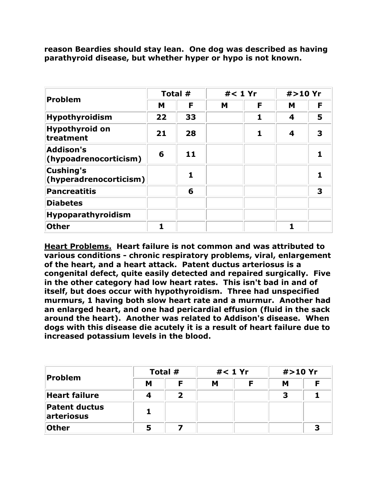| reason Beardies should stay lean. One dog was described as having |  |
|-------------------------------------------------------------------|--|
| parathyroid disease, but whether hyper or hypo is not known.      |  |

|                                            | Total # |    | $#1$ Yr |   | #>10 Yr |   |
|--------------------------------------------|---------|----|---------|---|---------|---|
| Problem                                    | М       | F  | M       | F | M       | F |
| <b>Hypothyroidism</b>                      | 22      | 33 |         |   | 4       | 5 |
| <b>Hypothyroid on</b><br>treatment         | 21      | 28 |         | 1 | 4       | 3 |
| <b>Addison's</b><br>(hypoadrenocorticism)  | 6       | 11 |         |   |         |   |
| <b>Cushing's</b><br>(hyperadrenocorticism) |         |    |         |   |         |   |
| <b>Pancreatitis</b>                        |         | 6  |         |   |         | 3 |
| <b>Diabetes</b>                            |         |    |         |   |         |   |
| Hypoparathyroidism                         |         |    |         |   |         |   |
| <b>Other</b>                               | 1       |    |         |   |         |   |

**Heart Problems. Heart failure is not common and was attributed to various conditions - chronic respiratory problems, viral, enlargement of the heart, and a heart attack. Patent ductus arteriosus is a congenital defect, quite easily detected and repaired surgically. Five in the other category had low heart rates. This isn't bad in and of itself, but does occur with hypothyroidism. Three had unspecified murmurs, 1 having both slow heart rate and a murmur. Another had an enlarged heart, and one had pericardial effusion (fluid in the sack around the heart). Another was related to Addison's disease. When dogs with this disease die acutely it is a result of heart failure due to increased potassium levels in the blood.**

|                                    |   | Total # |   | $#1$ Yr |   | #>10 Yr |  |
|------------------------------------|---|---------|---|---------|---|---------|--|
| Problem                            | M | Е       | M |         | м |         |  |
| <b>Heart failure</b>               |   |         |   |         | З |         |  |
| <b>Patent ductus</b><br>arteriosus |   |         |   |         |   |         |  |
| <b>Other</b>                       |   |         |   |         |   |         |  |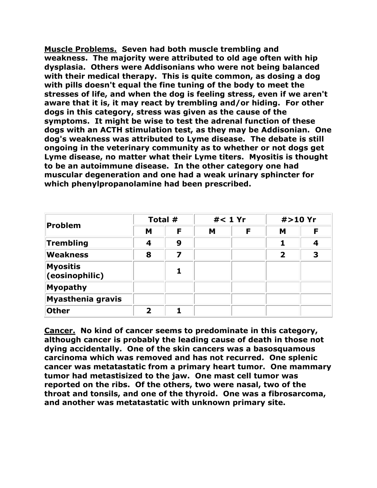**Muscle Problems. Seven had both muscle trembling and weakness. The majority were attributed to old age often with hip dysplasia. Others were Addisonians who were not being balanced with their medical therapy. This is quite common, as dosing a dog with pills doesn't equal the fine tuning of the body to meet the stresses of life, and when the dog is feeling stress, even if we aren't aware that it is, it may react by trembling and/or hiding. For other dogs in this category, stress was given as the cause of the symptoms. It might be wise to test the adrenal function of these dogs with an ACTH stimulation test, as they may be Addisonian. One dog's weakness was attributed to Lyme disease. The debate is still ongoing in the veterinary community as to whether or not dogs get Lyme disease, no matter what their Lyme titers. Myositis is thought to be an autoimmune disease. In the other category one had muscular degeneration and one had a weak urinary sphincter for which phenylpropanolamine had been prescribed.**

| <b>Problem</b>                    | Total # |   |   | $#1$ Yr | #>10 Yr      |   |
|-----------------------------------|---------|---|---|---------|--------------|---|
|                                   | М       | F | M | F       | M            | F |
| Trembling                         | 4       | 9 |   |         |              | 4 |
| <b>Weakness</b>                   | 8       | 7 |   |         | $\mathbf{2}$ | 3 |
| <b>Myositis</b><br>(eosinophilic) |         | 1 |   |         |              |   |
| <b>Myopathy</b>                   |         |   |   |         |              |   |
| <b>Myasthenia gravis</b>          |         |   |   |         |              |   |
| <b>Other</b>                      | 2       |   |   |         |              |   |

**Cancer. No kind of cancer seems to predominate in this category, although cancer is probably the leading cause of death in those not dying accidentally. One of the skin cancers was a basosquamous carcinoma which was removed and has not recurred. One splenic cancer was metatastatic from a primary heart tumor. One mammary tumor had metastisized to the jaw. One mast cell tumor was reported on the ribs. Of the others, two were nasal, two of the throat and tonsils, and one of the thyroid. One was a fibrosarcoma, and another was metatastatic with unknown primary site.**